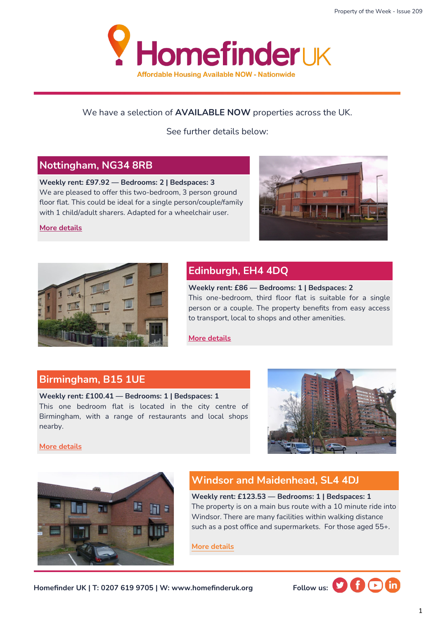

#### We have a selection of **AVAILABLE NOW** properties across the UK.

See further details below:

#### **Nottingham, NG34 8RB**

**Weekly rent: £97.92 — Bedrooms: 2 | Bedspaces: 3** We are pleased to offer this two-bedroom, 3 person ground floor flat. This could be ideal for a single person/couple/family with 1 child/adult sharers. Adapted for a wheelchair user.

**[More details](https://homefinderuk.org/property-detail/540333214-HF2001723)**





## **Edinburgh, EH4 4DQ**

**Weekly rent: £86 — Bedrooms: 1 | Bedspaces: 2** This one-bedroom, third floor flat is suitable for a single person or a couple. The property benefits from easy access to transport, local to shops and other amenities.

**[More details](https://homefinderuk.org/property-detail/538634061-HF2001668)**

#### **Birmingham, B15 1UE**

**Weekly rent: £100.41 — Bedrooms: 1 | Bedspaces: 1** This one bedroom flat is located in the city centre of Birmingham, with a range of restaurants and local shops nearby.



**[More details](https://homefinderuk.org/property-detail/538348921-HF2001649)**



### **Windsor and Maidenhead, SL4 4DJ**

**Weekly rent: £123.53 — Bedrooms: 1 | Bedspaces: 1** The property is on a main bus route with a 10 minute ride into Windsor. There are many facilities within walking distance such as a post office and supermarkets. For those aged 55+.

**[More details](https://homefinderuk.org/property-detail/540579581-HF2001727)**